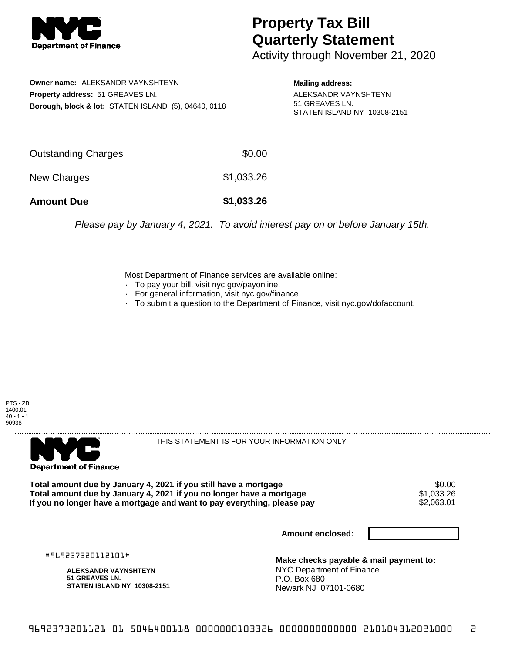

## **Property Tax Bill Quarterly Statement**

Activity through November 21, 2020

**Owner name:** ALEKSANDR VAYNSHTEYN **Property address:** 51 GREAVES LN. **Borough, block & lot:** STATEN ISLAND (5), 04640, 0118

**Mailing address:** ALEKSANDR VAYNSHTEYN 51 GREAVES LN. STATEN ISLAND NY 10308-2151

| <b>Amount Due</b>   | \$1,033.26 |
|---------------------|------------|
| New Charges         | \$1,033.26 |
| Outstanding Charges | \$0.00     |

Please pay by January 4, 2021. To avoid interest pay on or before January 15th.

Most Department of Finance services are available online:

- · To pay your bill, visit nyc.gov/payonline.
- For general information, visit nyc.gov/finance.
- · To submit a question to the Department of Finance, visit nyc.gov/dofaccount.





THIS STATEMENT IS FOR YOUR INFORMATION ONLY

Total amount due by January 4, 2021 if you still have a mortgage \$0.00<br>Total amount due by January 4, 2021 if you no longer have a mortgage \$1.033.26 **Total amount due by January 4, 2021 if you no longer have a mortgage**  $$1,033.26$ **<br>If you no longer have a mortgage and want to pay everything, please pay**  $$2,063.01$ If you no longer have a mortgage and want to pay everything, please pay

**Amount enclosed:**

#969237320112101#

**ALEKSANDR VAYNSHTEYN 51 GREAVES LN. STATEN ISLAND NY 10308-2151**

**Make checks payable & mail payment to:** NYC Department of Finance P.O. Box 680 Newark NJ 07101-0680